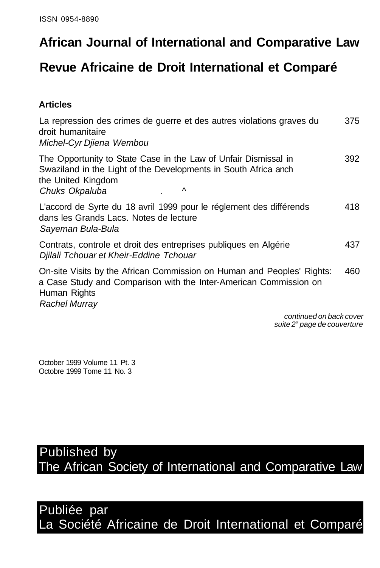# **African Journal of International and Comparative Law**

## **Revue Africaine de Droit International et Comparé**

#### **Articles**

| La repression des crimes de guerre et des autres violations graves du<br>droit humanitaire<br>Michel-Cyr Djiena Wembou                                                              | 375 |
|-------------------------------------------------------------------------------------------------------------------------------------------------------------------------------------|-----|
| The Opportunity to State Case in the Law of Unfair Dismissal in<br>Swaziland in the Light of the Developments in South Africa anch<br>the United Kingdom<br>Chuks Okpaluba<br>∧     | 392 |
| L'accord de Syrte du 18 avril 1999 pour le réglement des différends<br>dans les Grands Lacs. Notes de lecture<br>Sayeman Bula-Bula                                                  | 418 |
| Contrats, controle et droit des entreprises publiques en Algérie<br>Djilali Tchouar et Kheir-Eddine Tchouar                                                                         | 437 |
| On-site Visits by the African Commission on Human and Peoples' Rights:<br>a Case Study and Comparison with the Inter-American Commission on<br>Human Rights<br><b>Rachel Murray</b> | 460 |
| continued on back cover<br>suite 2 <sup>ª</sup> page de couverture                                                                                                                  |     |

October 1999 Volume 11 Pt. 3 Octobre 1999 Tome 11 No. 3

Published by The African Society of International and Comparative Law

Publiée par La Société Africaine de Droit International et Comparé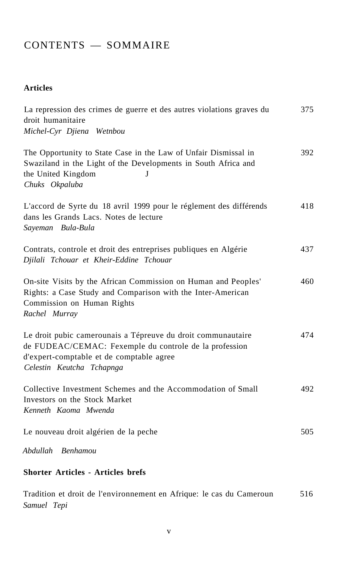### CONTENTS — SOMMAIRE

#### **Articles**

| La repression des crimes de guerre et des autres violations graves du<br>droit humanitaire<br>Michel-Cyr Djiena Wetnbou                                                                         | 375 |
|-------------------------------------------------------------------------------------------------------------------------------------------------------------------------------------------------|-----|
| The Opportunity to State Case in the Law of Unfair Dismissal in<br>Swaziland in the Light of the Developments in South Africa and<br>the United Kingdom<br>J<br>Chuks Okpaluba                  | 392 |
| L'accord de Syrte du 18 avril 1999 pour le réglement des différends<br>dans les Grands Lacs. Notes de lecture<br>Sayeman Bula-Bula                                                              | 418 |
| Contrats, controle et droit des entreprises publiques en Algérie<br>Djilali Tchouar et Kheir-Eddine Tchouar                                                                                     | 437 |
| On-site Visits by the African Commission on Human and Peoples'<br>Rights: a Case Study and Comparison with the Inter-American<br>Commission on Human Rights<br>Rachel Murray                    | 460 |
| Le droit pubic camerounais a Tépreuve du droit communautaire<br>de FUDEAC/CEMAC: Fexemple du controle de la profession<br>d'expert-comptable et de comptable agree<br>Celestin Keutcha Tchapnga | 474 |
| Collective Investment Schemes and the Accommodation of Small<br>Investors on the Stock Market<br>Kenneth Kaoma Mwenda                                                                           | 492 |
| Le nouveau droit algérien de la peche                                                                                                                                                           | 505 |
| Abdullah Benhamou                                                                                                                                                                               |     |
| <b>Shorter Articles - Articles brefs</b>                                                                                                                                                        |     |

Tradition et droit de l'environnement en Afrique: le cas du Cameroun 516 *Samuel Tepi*